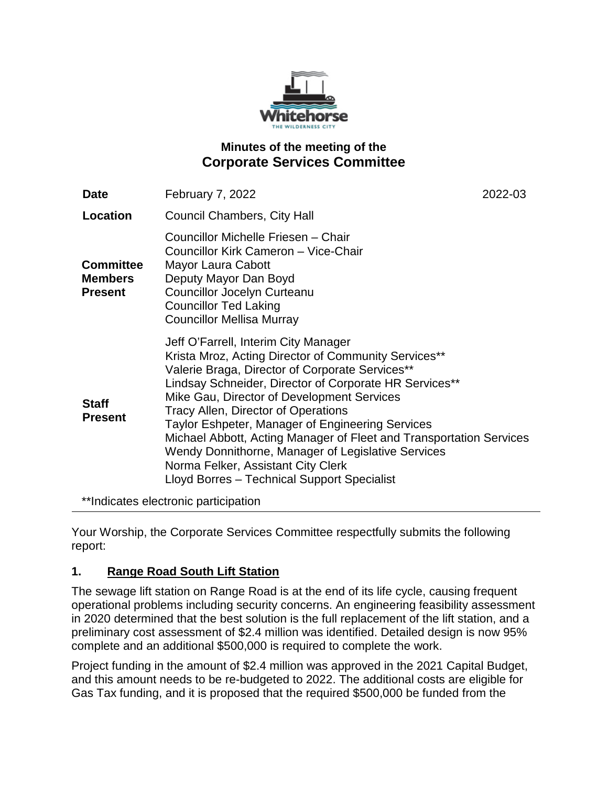

# **Minutes of the meeting of the Corporate Services Committee**

| <b>Date</b>                                          | <b>February 7, 2022</b>                                                                                                                                                                                                                                                                                                                                                                                                                                                                                                                                                            | 2022-03 |
|------------------------------------------------------|------------------------------------------------------------------------------------------------------------------------------------------------------------------------------------------------------------------------------------------------------------------------------------------------------------------------------------------------------------------------------------------------------------------------------------------------------------------------------------------------------------------------------------------------------------------------------------|---------|
| Location                                             | Council Chambers, City Hall                                                                                                                                                                                                                                                                                                                                                                                                                                                                                                                                                        |         |
| <b>Committee</b><br><b>Members</b><br><b>Present</b> | Councillor Michelle Friesen - Chair<br>Councillor Kirk Cameron - Vice-Chair<br>Mayor Laura Cabott<br>Deputy Mayor Dan Boyd<br><b>Councillor Jocelyn Curteanu</b><br><b>Councillor Ted Laking</b><br><b>Councillor Mellisa Murray</b>                                                                                                                                                                                                                                                                                                                                               |         |
| <b>Staff</b><br><b>Present</b>                       | Jeff O'Farrell, Interim City Manager<br>Krista Mroz, Acting Director of Community Services**<br>Valerie Braga, Director of Corporate Services**<br>Lindsay Schneider, Director of Corporate HR Services**<br>Mike Gau, Director of Development Services<br><b>Tracy Allen, Director of Operations</b><br><b>Taylor Eshpeter, Manager of Engineering Services</b><br>Michael Abbott, Acting Manager of Fleet and Transportation Services<br>Wendy Donnithorne, Manager of Legislative Services<br>Norma Felker, Assistant City Clerk<br>Lloyd Borres - Technical Support Specialist |         |

\*\*Indicates electronic participation

Your Worship, the Corporate Services Committee respectfully submits the following report:

## **1. Range Road South Lift Station**

The sewage lift station on Range Road is at the end of its life cycle, causing frequent operational problems including security concerns. An engineering feasibility assessment in 2020 determined that the best solution is the full replacement of the lift station, and a preliminary cost assessment of \$2.4 million was identified. Detailed design is now 95% complete and an additional \$500,000 is required to complete the work.

Project funding in the amount of \$2.4 million was approved in the 2021 Capital Budget, and this amount needs to be re-budgeted to 2022. The additional costs are eligible for Gas Tax funding, and it is proposed that the required \$500,000 be funded from the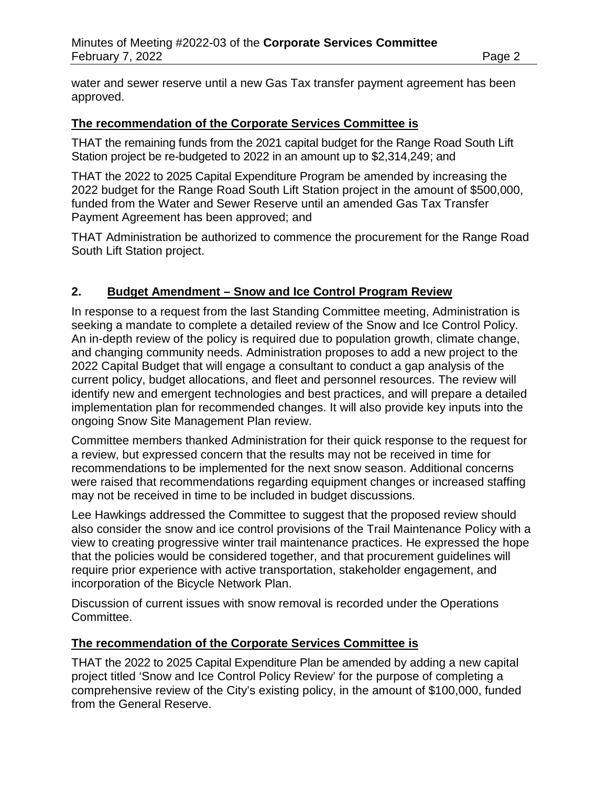water and sewer reserve until a new Gas Tax transfer payment agreement has been approved.

#### **The recommendation of the Corporate Services Committee is**

THAT the remaining funds from the 2021 capital budget for the Range Road South Lift Station project be re-budgeted to 2022 in an amount up to \$2,314,249; and

THAT the 2022 to 2025 Capital Expenditure Program be amended by increasing the 2022 budget for the Range Road South Lift Station project in the amount of \$500,000, funded from the Water and Sewer Reserve until an amended Gas Tax Transfer Payment Agreement has been approved; and

THAT Administration be authorized to commence the procurement for the Range Road South Lift Station project.

#### **2. Budget Amendment – Snow and Ice Control Program Review**

In response to a request from the last Standing Committee meeting, Administration is seeking a mandate to complete a detailed review of the Snow and Ice Control Policy. An in-depth review of the policy is required due to population growth, climate change, and changing community needs. Administration proposes to add a new project to the 2022 Capital Budget that will engage a consultant to conduct a gap analysis of the current policy, budget allocations, and fleet and personnel resources. The review will identify new and emergent technologies and best practices, and will prepare a detailed implementation plan for recommended changes. It will also provide key inputs into the ongoing Snow Site Management Plan review.

Committee members thanked Administration for their quick response to the request for a review, but expressed concern that the results may not be received in time for recommendations to be implemented for the next snow season. Additional concerns were raised that recommendations regarding equipment changes or increased staffing may not be received in time to be included in budget discussions.

Lee Hawkings addressed the Committee to suggest that the proposed review should also consider the snow and ice control provisions of the Trail Maintenance Policy with a view to creating progressive winter trail maintenance practices. He expressed the hope that the policies would be considered together, and that procurement guidelines will require prior experience with active transportation, stakeholder engagement, and incorporation of the Bicycle Network Plan.

Discussion of current issues with snow removal is recorded under the Operations Committee.

#### **The recommendation of the Corporate Services Committee is**

THAT the 2022 to 2025 Capital Expenditure Plan be amended by adding a new capital project titled 'Snow and Ice Control Policy Review' for the purpose of completing a comprehensive review of the City's existing policy, in the amount of \$100,000, funded from the General Reserve.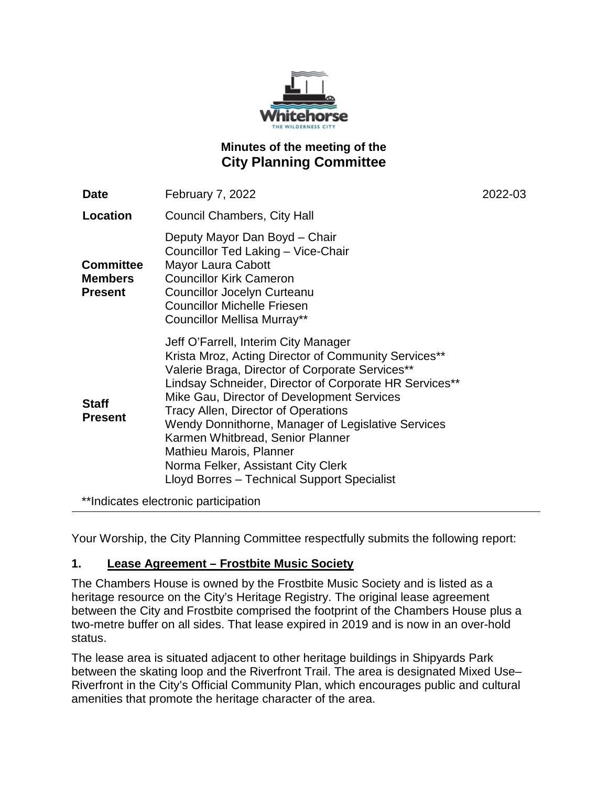

# **Minutes of the meeting of the City Planning Committee**

| <b>Date</b>                                          | February 7, 2022                                                                                                                                                                                                                                                                                                                                                                                                                                                                                                | 2022-03 |
|------------------------------------------------------|-----------------------------------------------------------------------------------------------------------------------------------------------------------------------------------------------------------------------------------------------------------------------------------------------------------------------------------------------------------------------------------------------------------------------------------------------------------------------------------------------------------------|---------|
| <b>Location</b>                                      | <b>Council Chambers, City Hall</b>                                                                                                                                                                                                                                                                                                                                                                                                                                                                              |         |
| <b>Committee</b><br><b>Members</b><br><b>Present</b> | Deputy Mayor Dan Boyd - Chair<br>Councillor Ted Laking - Vice-Chair<br>Mayor Laura Cabott<br><b>Councillor Kirk Cameron</b><br>Councillor Jocelyn Curteanu<br><b>Councillor Michelle Friesen</b><br>Councillor Mellisa Murray**                                                                                                                                                                                                                                                                                 |         |
| <b>Staff</b><br><b>Present</b>                       | Jeff O'Farrell, Interim City Manager<br>Krista Mroz, Acting Director of Community Services**<br>Valerie Braga, Director of Corporate Services**<br>Lindsay Schneider, Director of Corporate HR Services**<br>Mike Gau, Director of Development Services<br><b>Tracy Allen, Director of Operations</b><br>Wendy Donnithorne, Manager of Legislative Services<br>Karmen Whitbread, Senior Planner<br>Mathieu Marois, Planner<br>Norma Felker, Assistant City Clerk<br>Lloyd Borres - Technical Support Specialist |         |
|                                                      | **Indicates electronic participation                                                                                                                                                                                                                                                                                                                                                                                                                                                                            |         |

Your Worship, the City Planning Committee respectfully submits the following report:

## **1. Lease Agreement – Frostbite Music Society**

The Chambers House is owned by the Frostbite Music Society and is listed as a heritage resource on the City's Heritage Registry. The original lease agreement between the City and Frostbite comprised the footprint of the Chambers House plus a two-metre buffer on all sides. That lease expired in 2019 and is now in an over-hold status.

The lease area is situated adjacent to other heritage buildings in Shipyards Park between the skating loop and the Riverfront Trail. The area is designated Mixed Use– Riverfront in the City's Official Community Plan, which encourages public and cultural amenities that promote the heritage character of the area.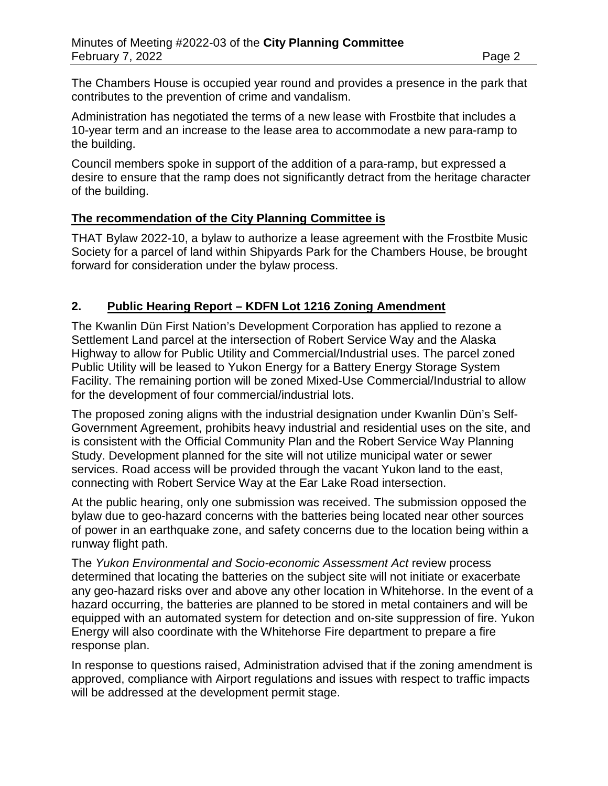The Chambers House is occupied year round and provides a presence in the park that contributes to the prevention of crime and vandalism.

Administration has negotiated the terms of a new lease with Frostbite that includes a 10-year term and an increase to the lease area to accommodate a new para-ramp to the building.

Council members spoke in support of the addition of a para-ramp, but expressed a desire to ensure that the ramp does not significantly detract from the heritage character of the building.

## **The recommendation of the City Planning Committee is**

THAT Bylaw 2022-10, a bylaw to authorize a lease agreement with the Frostbite Music Society for a parcel of land within Shipyards Park for the Chambers House, be brought forward for consideration under the bylaw process.

## **2. Public Hearing Report – KDFN Lot 1216 Zoning Amendment**

The Kwanlin Dün First Nation's Development Corporation has applied to rezone a Settlement Land parcel at the intersection of Robert Service Way and the Alaska Highway to allow for Public Utility and Commercial/Industrial uses. The parcel zoned Public Utility will be leased to Yukon Energy for a Battery Energy Storage System Facility. The remaining portion will be zoned Mixed-Use Commercial/Industrial to allow for the development of four commercial/industrial lots.

The proposed zoning aligns with the industrial designation under Kwanlin Dün's Self-Government Agreement, prohibits heavy industrial and residential uses on the site, and is consistent with the Official Community Plan and the Robert Service Way Planning Study. Development planned for the site will not utilize municipal water or sewer services. Road access will be provided through the vacant Yukon land to the east, connecting with Robert Service Way at the Ear Lake Road intersection.

At the public hearing, only one submission was received. The submission opposed the bylaw due to geo-hazard concerns with the batteries being located near other sources of power in an earthquake zone, and safety concerns due to the location being within a runway flight path.

The *Yukon Environmental and Socio-economic Assessment Act* review process determined that locating the batteries on the subject site will not initiate or exacerbate any geo-hazard risks over and above any other location in Whitehorse. In the event of a hazard occurring, the batteries are planned to be stored in metal containers and will be equipped with an automated system for detection and on-site suppression of fire. Yukon Energy will also coordinate with the Whitehorse Fire department to prepare a fire response plan.

In response to questions raised, Administration advised that if the zoning amendment is approved, compliance with Airport regulations and issues with respect to traffic impacts will be addressed at the development permit stage.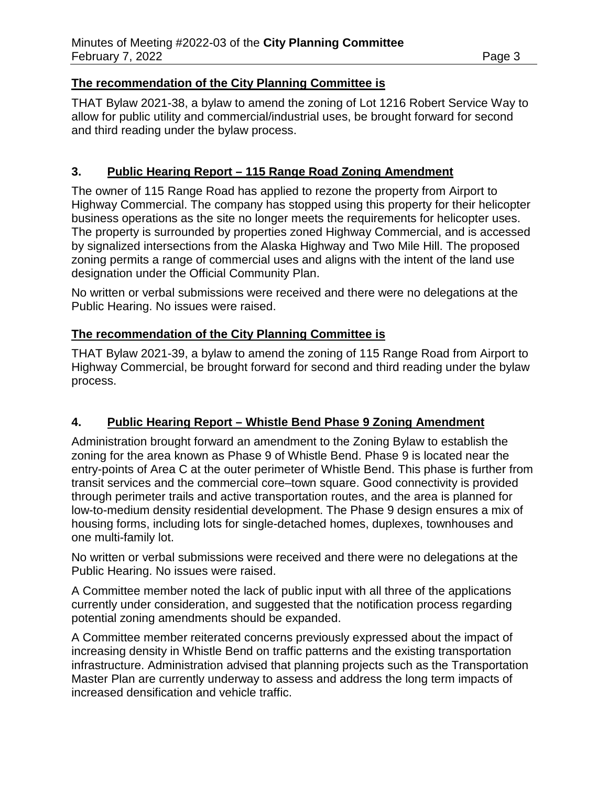#### **The recommendation of the City Planning Committee is**

THAT Bylaw 2021-38, a bylaw to amend the zoning of Lot 1216 Robert Service Way to allow for public utility and commercial/industrial uses, be brought forward for second and third reading under the bylaw process.

## **3. Public Hearing Report – 115 Range Road Zoning Amendment**

The owner of 115 Range Road has applied to rezone the property from Airport to Highway Commercial. The company has stopped using this property for their helicopter business operations as the site no longer meets the requirements for helicopter uses. The property is surrounded by properties zoned Highway Commercial, and is accessed by signalized intersections from the Alaska Highway and Two Mile Hill. The proposed zoning permits a range of commercial uses and aligns with the intent of the land use designation under the Official Community Plan.

No written or verbal submissions were received and there were no delegations at the Public Hearing. No issues were raised.

#### **The recommendation of the City Planning Committee is**

THAT Bylaw 2021-39, a bylaw to amend the zoning of 115 Range Road from Airport to Highway Commercial, be brought forward for second and third reading under the bylaw process.

## **4. Public Hearing Report – Whistle Bend Phase 9 Zoning Amendment**

Administration brought forward an amendment to the Zoning Bylaw to establish the zoning for the area known as Phase 9 of Whistle Bend. Phase 9 is located near the entry-points of Area C at the outer perimeter of Whistle Bend. This phase is further from transit services and the commercial core–town square. Good connectivity is provided through perimeter trails and active transportation routes, and the area is planned for low-to-medium density residential development. The Phase 9 design ensures a mix of housing forms, including lots for single-detached homes, duplexes, townhouses and one multi-family lot.

No written or verbal submissions were received and there were no delegations at the Public Hearing. No issues were raised.

A Committee member noted the lack of public input with all three of the applications currently under consideration, and suggested that the notification process regarding potential zoning amendments should be expanded.

A Committee member reiterated concerns previously expressed about the impact of increasing density in Whistle Bend on traffic patterns and the existing transportation infrastructure. Administration advised that planning projects such as the Transportation Master Plan are currently underway to assess and address the long term impacts of increased densification and vehicle traffic.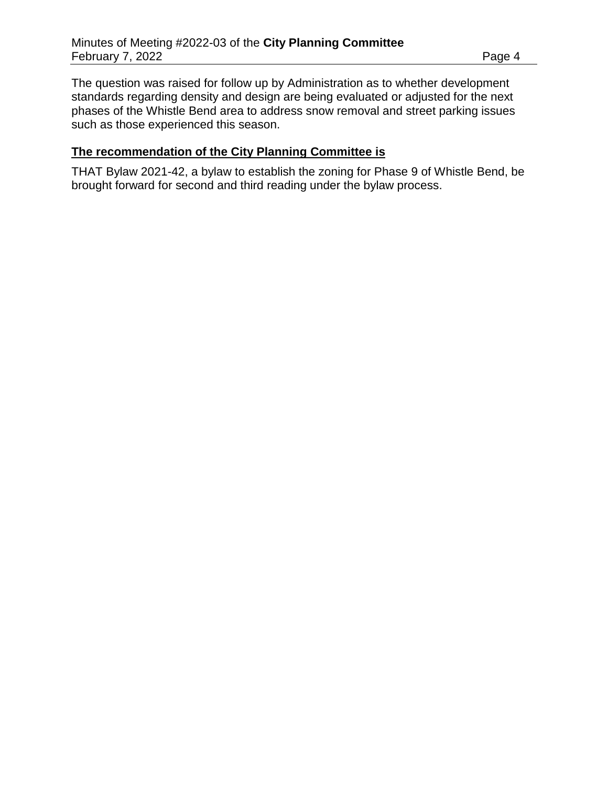The question was raised for follow up by Administration as to whether development standards regarding density and design are being evaluated or adjusted for the next phases of the Whistle Bend area to address snow removal and street parking issues such as those experienced this season.

#### **The recommendation of the City Planning Committee is**

THAT Bylaw 2021-42, a bylaw to establish the zoning for Phase 9 of Whistle Bend, be brought forward for second and third reading under the bylaw process.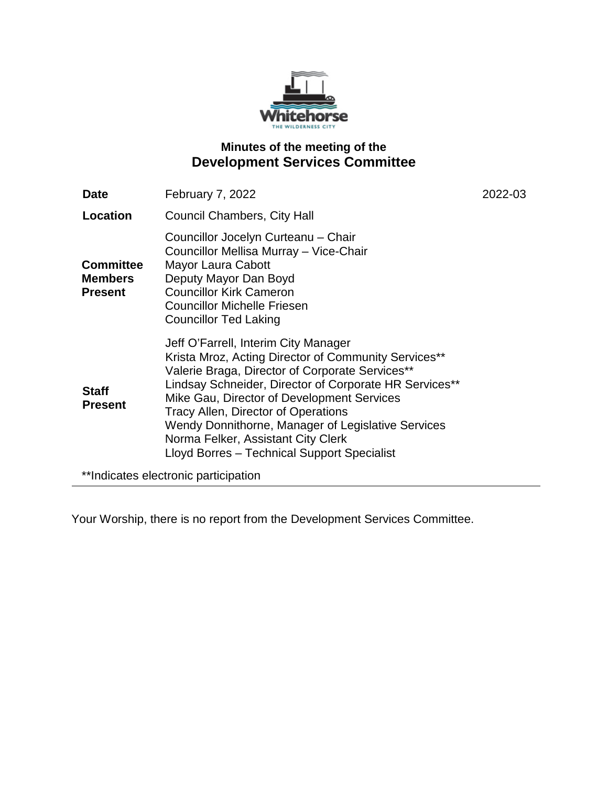

# **Minutes of the meeting of the Development Services Committee**

| Date                                                 | February 7, 2022                                                                                                                                                                                                                                                                                                                                                                                                                                 | 2022-03 |
|------------------------------------------------------|--------------------------------------------------------------------------------------------------------------------------------------------------------------------------------------------------------------------------------------------------------------------------------------------------------------------------------------------------------------------------------------------------------------------------------------------------|---------|
| Location                                             | Council Chambers, City Hall                                                                                                                                                                                                                                                                                                                                                                                                                      |         |
| <b>Committee</b><br><b>Members</b><br><b>Present</b> | Councillor Jocelyn Curteanu - Chair<br>Councillor Mellisa Murray - Vice-Chair<br>Mayor Laura Cabott<br>Deputy Mayor Dan Boyd<br><b>Councillor Kirk Cameron</b><br><b>Councillor Michelle Friesen</b><br><b>Councillor Ted Laking</b>                                                                                                                                                                                                             |         |
| <b>Staff</b><br><b>Present</b>                       | Jeff O'Farrell, Interim City Manager<br>Krista Mroz, Acting Director of Community Services**<br>Valerie Braga, Director of Corporate Services**<br>Lindsay Schneider, Director of Corporate HR Services**<br>Mike Gau, Director of Development Services<br><b>Tracy Allen, Director of Operations</b><br>Wendy Donnithorne, Manager of Legislative Services<br>Norma Felker, Assistant City Clerk<br>Lloyd Borres - Technical Support Specialist |         |
| **Indicates electronic participation                 |                                                                                                                                                                                                                                                                                                                                                                                                                                                  |         |

Your Worship, there is no report from the Development Services Committee.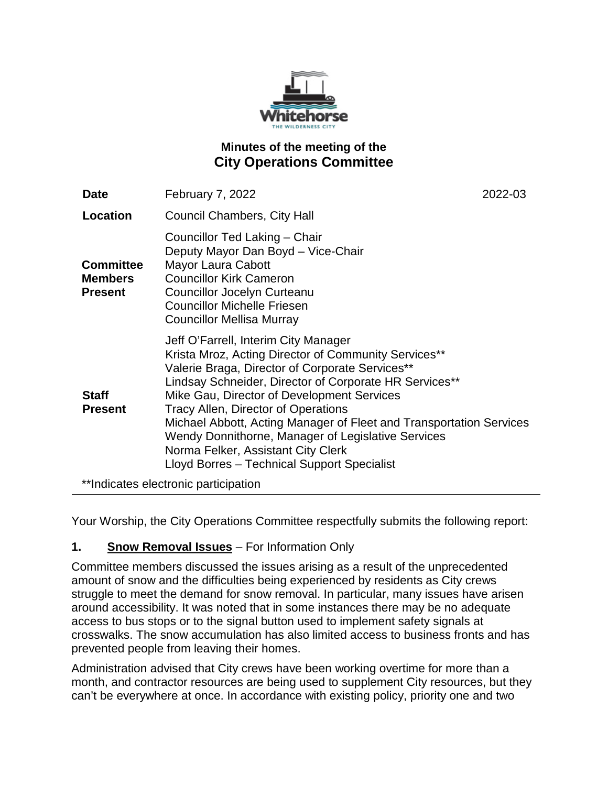

# **Minutes of the meeting of the City Operations Committee**

| Date                                                 | February 7, 2022                                                                                                                                                                                                                                                                                                                                                                                                                                                                                                 | 2022-03 |
|------------------------------------------------------|------------------------------------------------------------------------------------------------------------------------------------------------------------------------------------------------------------------------------------------------------------------------------------------------------------------------------------------------------------------------------------------------------------------------------------------------------------------------------------------------------------------|---------|
| Location                                             | <b>Council Chambers, City Hall</b>                                                                                                                                                                                                                                                                                                                                                                                                                                                                               |         |
| <b>Committee</b><br><b>Members</b><br><b>Present</b> | Councillor Ted Laking - Chair<br>Deputy Mayor Dan Boyd - Vice-Chair<br>Mayor Laura Cabott<br><b>Councillor Kirk Cameron</b><br>Councillor Jocelyn Curteanu<br><b>Councillor Michelle Friesen</b><br><b>Councillor Mellisa Murray</b>                                                                                                                                                                                                                                                                             |         |
| <b>Staff</b><br><b>Present</b>                       | Jeff O'Farrell, Interim City Manager<br>Krista Mroz, Acting Director of Community Services**<br>Valerie Braga, Director of Corporate Services**<br>Lindsay Schneider, Director of Corporate HR Services**<br>Mike Gau, Director of Development Services<br>Tracy Allen, Director of Operations<br>Michael Abbott, Acting Manager of Fleet and Transportation Services<br>Wendy Donnithorne, Manager of Legislative Services<br>Norma Felker, Assistant City Clerk<br>Lloyd Borres - Technical Support Specialist |         |
|                                                      | **Indicates electronic participation                                                                                                                                                                                                                                                                                                                                                                                                                                                                             |         |

Your Worship, the City Operations Committee respectfully submits the following report:

## **1. Snow Removal Issues** – For Information Only

Committee members discussed the issues arising as a result of the unprecedented amount of snow and the difficulties being experienced by residents as City crews struggle to meet the demand for snow removal. In particular, many issues have arisen around accessibility. It was noted that in some instances there may be no adequate access to bus stops or to the signal button used to implement safety signals at crosswalks. The snow accumulation has also limited access to business fronts and has prevented people from leaving their homes.

Administration advised that City crews have been working overtime for more than a month, and contractor resources are being used to supplement City resources, but they can't be everywhere at once. In accordance with existing policy, priority one and two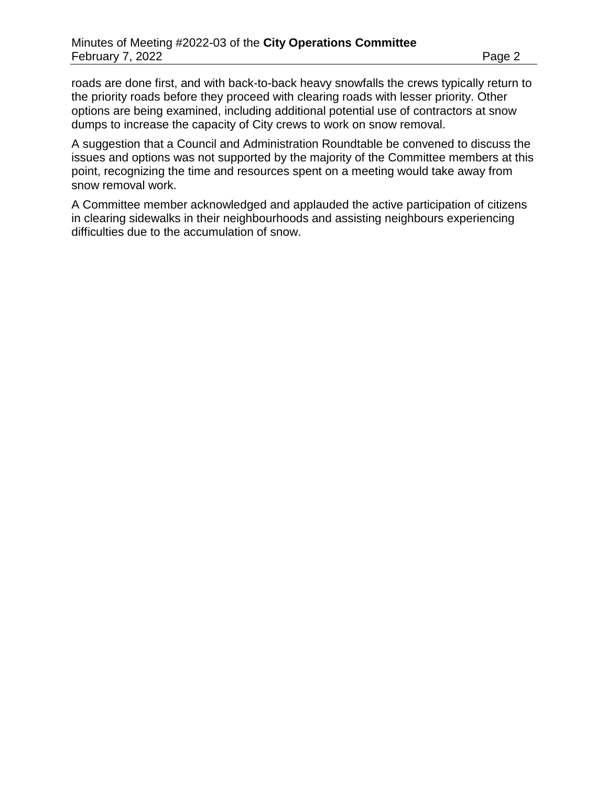roads are done first, and with back-to-back heavy snowfalls the crews typically return to the priority roads before they proceed with clearing roads with lesser priority. Other options are being examined, including additional potential use of contractors at snow dumps to increase the capacity of City crews to work on snow removal.

A suggestion that a Council and Administration Roundtable be convened to discuss the issues and options was not supported by the majority of the Committee members at this point, recognizing the time and resources spent on a meeting would take away from snow removal work.

A Committee member acknowledged and applauded the active participation of citizens in clearing sidewalks in their neighbourhoods and assisting neighbours experiencing difficulties due to the accumulation of snow.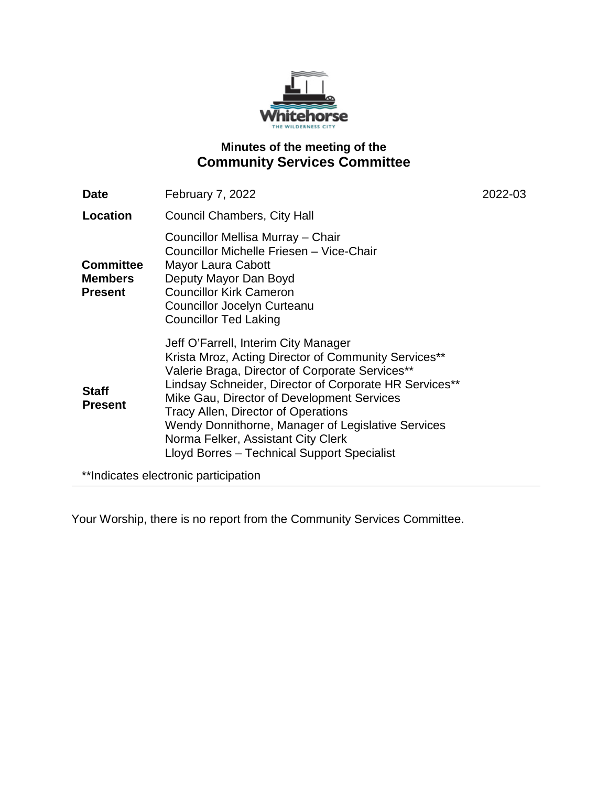

# **Minutes of the meeting of the Community Services Committee**

| <b>Date</b>                                          | February 7, 2022                                                                                                                                                                                                                                                                                                                                                                                                                          | 2022-03 |
|------------------------------------------------------|-------------------------------------------------------------------------------------------------------------------------------------------------------------------------------------------------------------------------------------------------------------------------------------------------------------------------------------------------------------------------------------------------------------------------------------------|---------|
| Location                                             | <b>Council Chambers, City Hall</b>                                                                                                                                                                                                                                                                                                                                                                                                        |         |
| <b>Committee</b><br><b>Members</b><br><b>Present</b> | Councillor Mellisa Murray - Chair<br>Councillor Michelle Friesen - Vice-Chair<br>Mayor Laura Cabott<br>Deputy Mayor Dan Boyd<br><b>Councillor Kirk Cameron</b><br><b>Councillor Jocelyn Curteanu</b><br><b>Councillor Ted Laking</b>                                                                                                                                                                                                      |         |
| <b>Staff</b><br><b>Present</b>                       | Jeff O'Farrell, Interim City Manager<br>Krista Mroz, Acting Director of Community Services**<br>Valerie Braga, Director of Corporate Services**<br>Lindsay Schneider, Director of Corporate HR Services**<br>Mike Gau, Director of Development Services<br>Tracy Allen, Director of Operations<br>Wendy Donnithorne, Manager of Legislative Services<br>Norma Felker, Assistant City Clerk<br>Lloyd Borres - Technical Support Specialist |         |
| **Indicates electronic participation                 |                                                                                                                                                                                                                                                                                                                                                                                                                                           |         |

Your Worship, there is no report from the Community Services Committee.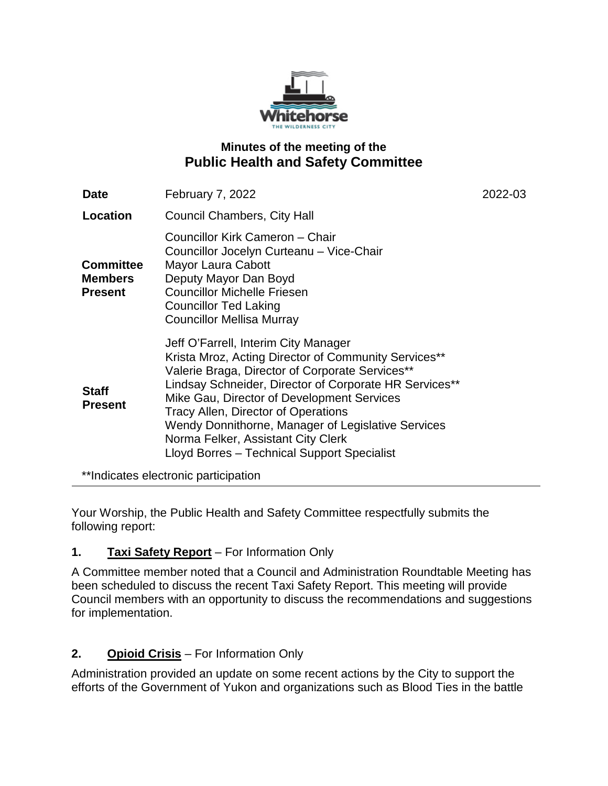

# **Minutes of the meeting of the Public Health and Safety Committee**

| <b>Date</b>                                          | <b>February 7, 2022</b>                                                                                                                                                                                                                                                                                                                                                                                                                          | 2022-03 |
|------------------------------------------------------|--------------------------------------------------------------------------------------------------------------------------------------------------------------------------------------------------------------------------------------------------------------------------------------------------------------------------------------------------------------------------------------------------------------------------------------------------|---------|
| Location                                             | Council Chambers, City Hall                                                                                                                                                                                                                                                                                                                                                                                                                      |         |
| <b>Committee</b><br><b>Members</b><br><b>Present</b> | Councillor Kirk Cameron - Chair<br>Councillor Jocelyn Curteanu - Vice-Chair<br>Mayor Laura Cabott<br>Deputy Mayor Dan Boyd<br><b>Councillor Michelle Friesen</b><br><b>Councillor Ted Laking</b><br><b>Councillor Mellisa Murray</b>                                                                                                                                                                                                             |         |
| <b>Staff</b><br><b>Present</b>                       | Jeff O'Farrell, Interim City Manager<br>Krista Mroz, Acting Director of Community Services**<br>Valerie Braga, Director of Corporate Services**<br>Lindsay Schneider, Director of Corporate HR Services**<br>Mike Gau, Director of Development Services<br><b>Tracy Allen, Director of Operations</b><br>Wendy Donnithorne, Manager of Legislative Services<br>Norma Felker, Assistant City Clerk<br>Lloyd Borres - Technical Support Specialist |         |

\*\*Indicates electronic participation

Your Worship, the Public Health and Safety Committee respectfully submits the following report:

# **1. Taxi Safety Report** – For Information Only

A Committee member noted that a Council and Administration Roundtable Meeting has been scheduled to discuss the recent Taxi Safety Report. This meeting will provide Council members with an opportunity to discuss the recommendations and suggestions for implementation.

# **2. Opioid Crisis** – For Information Only

Administration provided an update on some recent actions by the City to support the efforts of the Government of Yukon and organizations such as Blood Ties in the battle